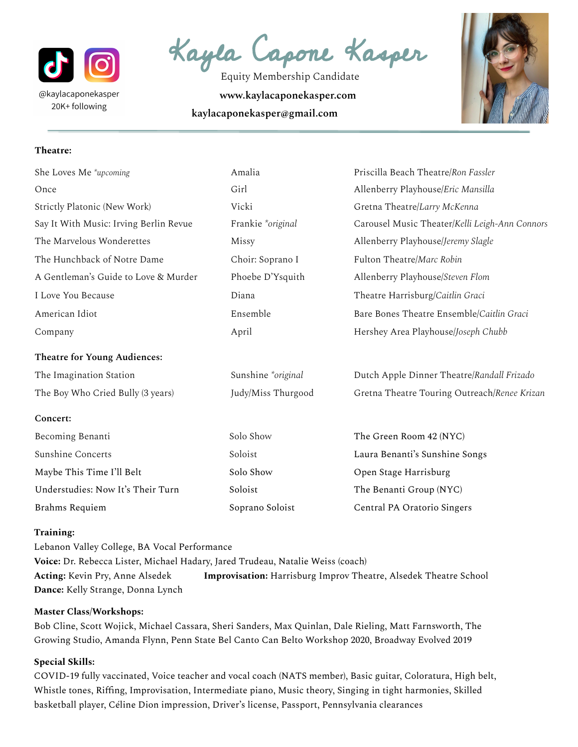

Kayla Capone Kasper

Equity Membership Candidate **www.kaylacaponekasper.com kaylacaponekasper@gmail.com**



## **Theatre:**

| She Loves Me *upcoming                 | Amalia             | Priscilla Beach Theatre/Ron Fassler            |
|----------------------------------------|--------------------|------------------------------------------------|
| Once                                   | Girl               | Allenberry Playhouse/Eric Mansilla             |
| Strictly Platonic (New Work)           | Vicki              | Gretna Theatre/Larry McKenna                   |
| Say It With Music: Irving Berlin Revue | Frankie *original  | Carousel Music Theater/Kelli Leigh-Ann Connors |
| The Marvelous Wonderettes              | Missy              | Allenberry Playhouse/Jeremy Slagle             |
| The Hunchback of Notre Dame            | Choir: Soprano I   | Fulton Theatre/Marc Robin                      |
| A Gentleman's Guide to Love & Murder   | Phoebe D'Ysquith   | Allenberry Playhouse/Steven Flom               |
| I Love You Because                     | Diana              | Theatre Harrisburg/Caitlin Graci               |
| American Idiot                         | Ensemble           | Bare Bones Theatre Ensemble/Caitlin Graci      |
| Company                                | April              | Hershey Area Playhouse/Joseph Chubb            |
| Theatre for Young Audiences:           |                    |                                                |
| The Imagination Station                | Sunshine *original | Dutch Apple Dinner Theatre/Randall Frizado     |
| The Boy Who Cried Bully (3 years)      | Judy/Miss Thurgood | Gretna Theatre Touring Outreach/Renee Krizan   |
| Concert:                               |                    |                                                |
| Becoming Benanti                       | Solo Show          | The Green Room 42 (NYC)                        |
| Sunshine Concerts                      | Soloist            | Laura Benanti's Sunshine Songs                 |
| Maybe This Time I'll Belt              | Solo Show          | Open Stage Harrisburg                          |
| Understudies: Now It's Their Turn      | Soloist            | The Benanti Group (NYC)                        |
| Brahms Requiem                         | Soprano Soloist    | Central PA Oratorio Singers                    |

## **Training:**

Lebanon Valley College, BA Vocal Performance **Voice:** Dr. Rebecca Lister, Michael Hadary, Jared Trudeau, Natalie Weiss (coach) **Acting:** Kevin Pry, Anne Alsedek **Improvisation:** Harrisburg Improv Theatre, Alsedek Theatre School **Dance:** Kelly Strange, Donna Lynch

## **Master Class/Workshops:**

Bob Cline, Scott Wojick, Michael Cassara, Sheri Sanders, Max Quinlan, Dale Rieling, Matt Farnsworth, The Growing Studio, Amanda Flynn, Penn State Bel Canto Can Belto Workshop 2020, Broadway Evolved 2019

## **Special Skills:**

COVID-19 fully vaccinated, Voice teacher and vocal coach (NATS member), Basic guitar, Coloratura, High belt, Whistle tones, Riffing, Improvisation, Intermediate piano, Music theory, Singing in tight harmonies, Skilled basketball player, Céline Dion impression, Driver's license, Passport, Pennsylvania clearances